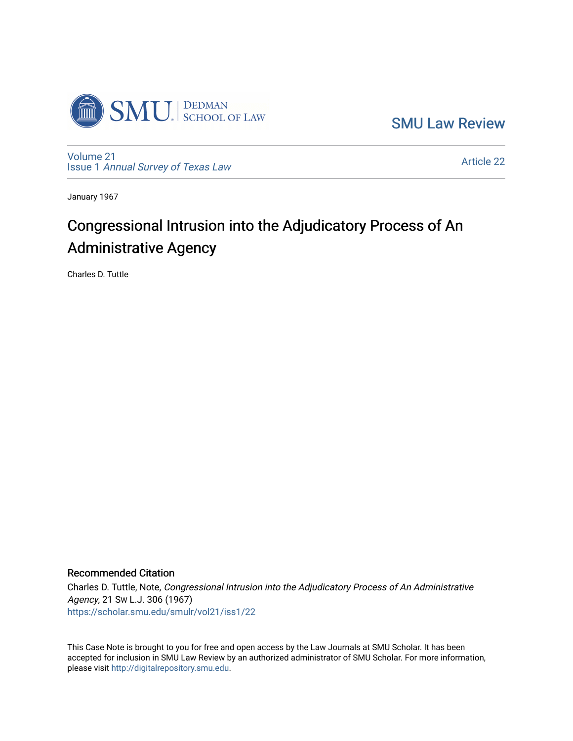

[SMU Law Review](https://scholar.smu.edu/smulr) 

[Volume 21](https://scholar.smu.edu/smulr/vol21) Issue 1 [Annual Survey of Texas Law](https://scholar.smu.edu/smulr/vol21/iss1) 

[Article 22](https://scholar.smu.edu/smulr/vol21/iss1/22) 

January 1967

# Congressional Intrusion into the Adjudicatory Process of An Administrative Agency

Charles D. Tuttle

### Recommended Citation

Charles D. Tuttle, Note, Congressional Intrusion into the Adjudicatory Process of An Administrative Agency, 21 SW L.J. 306 (1967) [https://scholar.smu.edu/smulr/vol21/iss1/22](https://scholar.smu.edu/smulr/vol21/iss1/22?utm_source=scholar.smu.edu%2Fsmulr%2Fvol21%2Fiss1%2F22&utm_medium=PDF&utm_campaign=PDFCoverPages)

This Case Note is brought to you for free and open access by the Law Journals at SMU Scholar. It has been accepted for inclusion in SMU Law Review by an authorized administrator of SMU Scholar. For more information, please visit [http://digitalrepository.smu.edu.](http://digitalrepository.smu.edu/)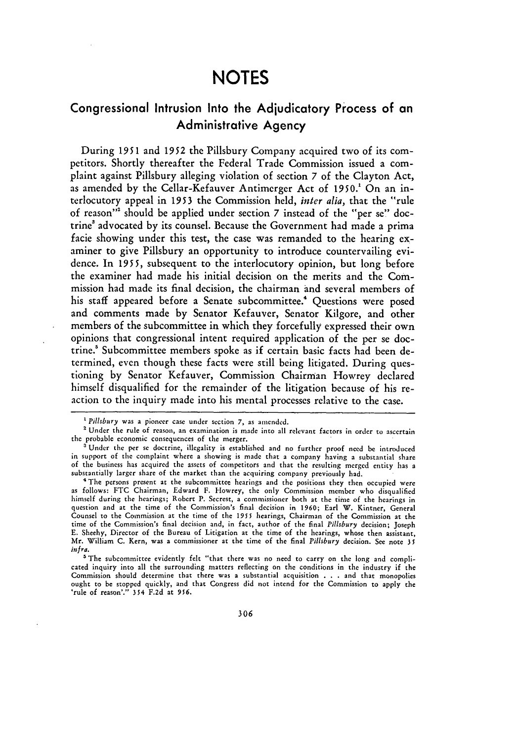## **NOTES**

### Congressional Intrusion Into the Adjudicatory Process of an Administrative Agency

During 1951 and *1952* the Pillsbury Company acquired two of its compctitors. Shortly thereafter the Federal Trade Commission issued a complaint against Pillsbury alleging violation of section *7* of the Clayton Act, as amended by the Cellar-Kefauver Antimerger Act of 1950.' On an interlocutory appeal in 1953 the Commission held, *inter alia,* that the "rule of reason"<sup>2</sup> should be applied under section 7 instead of the "per se" doctrine' advocated by its counsel. Because the Government had made a prima facie showing under this test, the case was remanded to the hearing examiner to give Pillsbury an opportunity to introduce countervailing evidence. In 1955, subsequent to the interlocutory opinion, but long before the examiner had made his initial decision on the merits and the Commission had made its final decision, the chairman and several members of his staff appeared before a Senate subcommittee.<sup>4</sup> Questions were posed and comments made by Senator Kefauver, Senator Kilgore, and other members of the subcommittee in which they forcefully expressed their own opinions that congressional intent required application of the per se doctrine.' Subcommittee members spoke as if certain basic facts had been determined, even though these facts were still being litigated. During questioning by Senator Kefauver, Commission Chairman Howrey declared himself disqualified for the remainder of the litigation because of his reaction to the inquiry made into his mental processes relative to the case.

*Pillsbury* was a pioneer case under section 7, as amended.

Under the rule of reason, an examination is made into all relevant factors in order to ascertain

the probable economic consequences of the merger.<br><sup>3</sup>Under the per se doctrine, illegality is established and no further proof need be introduced in support of the complaint where a showing is made that a company having a substantial share of the business has acquired the assets of competitors and that the resulting merged entity has a substantially larger share of the market than the acquiring company previously **had.**

<sup>&</sup>lt;sup>4</sup> The persons present at the subcommittee hearings and the positions they then occupied were as follows: FTC Chairman, Edward F. Howrey, the only Commission member who disqualified himself during the hearings; Robert P. Secrest, a commissioner both at the time of the hearings in question and at the time of the Commission's final decision in **1960;** Earl W. Kintner, General Counsel to the Commission at the time of the 1955 hearings, Chairman of the Commission at the time of the Commission's final decision and, in fact, author of the final *Pillsbury* decision; Joseph **E.** Sheehy, Director of the Bureau of Litigation at the time of the hearings, whose then assistant, Mr. William C. Kern, was a commissioner at the time of the final *Pillsbury* decision. See note **35** *infra.*

<sup>&</sup>lt;sup>5</sup> The subcommittee evidently felt "that there was no need to carry on the long and compli-<br>cated inquiry into all the surrounding matters reflecting on the conditions in the industry if the cated inquiry into all the surrounding matters reflecting on the conditions in the industry if the Commission should determine that there was a substantial acquisition . . . and that monopolies ought to be stopped quickly, and that Congress did not intend for the Commission to apply the 'rule of reason'." 354 **F.2d** at 956.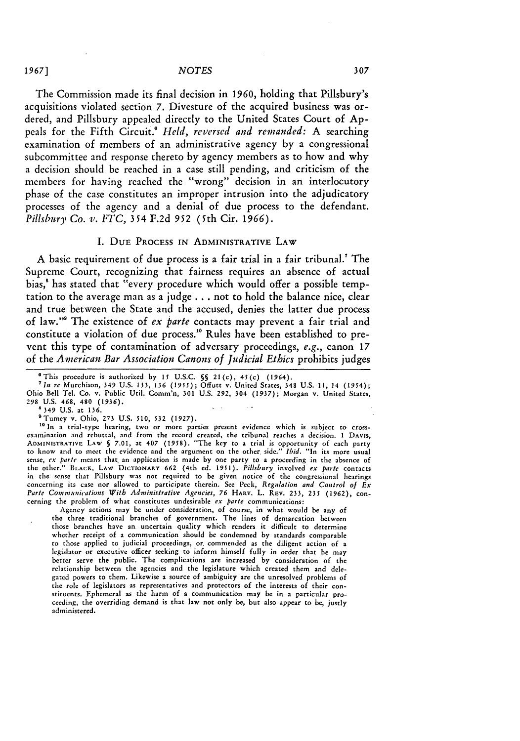The Commission made its final decision in **1960,** holding that Pillsbury's acquisitions violated section **7.** Divesture of the acquired business was ordered, and Pillsbury appealed directly to the United States Court of **Ap**peals for the Fifth Circuit.! *Held, reversed and remanded:* **A** searching examination of members of an administrative agency **by** a congressional subcommittee and response thereto **by** agency members as to how and why a decision should be reached in a case still pending, and criticism of the members for having reached the "wrong" decision in an interlocutory phase of the case constitutes an improper intrusion into the adjudicatory processes of the agency and a denial of due process to the defendant. Pillsbury Co. v. *FTC,* 354 **F.2d 952** (5th Cir. **1966).**

### **I. DUE PROCESS IN ADMINISTRATIVE LAW**

**A** basic requirement of due process is a fair trial in a fair tribunal.! The Supreme Court, recognizing that fairness requires an absence of actual bias,' has stated that "every procedure which would offer a possible temptation to the average man as a judge **...** not to hold the balance nice, clear and true between the State and the accused, denies the latter due process of law."' The existence of *ex parte* contacts may prevent a fair trial and constitute a violation of due process."0 Rules have been established to prevent this type of contamination of adversary proceedings, e.g., canon **17** of the *American Bar Association Canons of Judicial Ethics* prohibits judges

'In *re* Murchison, 349 U.S. 133, **136** (1955); Offutt v. United States, 348 U.S. **11, 14 (1954);** Ohio Bell Tel. Co. v. Public Util. Comm'n, **301** U.S. 292, 304 **(1937);** Morgan v. United States, 298 U.S. 468, 480 (1936).<br><sup>8</sup> 240 U.S. 468, 480 (1936).

'Tumey v. Ohio, 273 **U.S. 510, 532 (1927).**

<sup>10</sup> In a trial-type hearing, two or more parties present evidence which is subject to crossexamination **and** rebuttal, and from the record created, the tribunal reaches a decision. **I** DAVIS, ADMINISTRATIVE LAW **§ 7.01,** at 407 **(1958).** "The **key** to a trial is opportunity of each party to know and to meet the evidence and the argument on the other side." Ibid. **"In its more usual** sense, ex parte means that an application is made by one party to a proceeding in the absence of<br>the other." BLACK, LAW DICTIONARY 662 (4th ed. 1951). Pillsbury involved ex parte contacts in the sense that Pillsbury was not required to be given notice of the congressional hearings concerning its case nor allowed to participate therein. **See** Peck, *Regulation and Control of Ex Parte Communications With Administrative Agencies, 76 HARV. L. REV. 233, 235 (1962), con*cerning the problem of what constitutes undesirable ex parte communications:

Agency actions may be under consideration, of course, in what would be any of the three traditional branches of government. The lines of demarcation between those branches have an uncertain quality which renders **it** difficult to determine whether receipt of a communication should be condemned by standards comparable to those applied to judicial proceedings, **or.** commended as the diligent action of a legislator or executive officer seeking to inform himself fully in order that he may better serve the public. The complications are increased by consideration of the relationship between the agencies and the legislature which created them and delegated powers to them. Likewise a source of ambiguity are the unresolved problems of the role of legislators as representatives and protectors of **the** interests of their constituents. Ephemeral as the harm of a communication may be in a particular proceeding, the overriding demand is that law not only **be,** but also appear to **be,** justly administered.

<sup>&#</sup>x27;This procedure is authorized by 15 U.S.C. *§§* 21(c), 45(c) **(1964).**

<sup>&#</sup>x27;349 **U.S.** at **136.**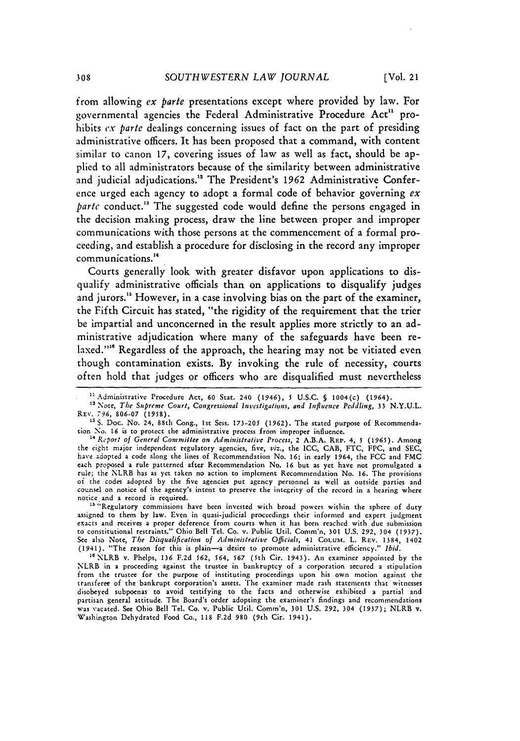from allowing ex *parte* presentations except where provided **by** law. For governmental agencies the Federal Administrative Procedure Act" prohibits *cx* parte dealings concerning issues of fact on the part of presiding administrative officers. It has been proposed that a command, with content similar to canon **17,** covering issues of law as well as fact, should be applied to all administrators because of the similarity between administrative and judicial adjudications." The President's **1962** Administrative Conference urged each agency to adopt a formal code of behavior governing  $ex$ parte conduct.'" The suggested code would define the persons engaged in the decision making process, draw the line between proper and improper communications with those persons at the commencement of a formal proceeding, and establish a procedure for disclosing in the record any improper communications. <sup>4</sup>

Courts generally look with greater disfavor upon applications to disqualify administrative officials than on applications to disqualify judges and jurors.'" However, in a case involving bias on the part of the examiner, the Fifth Circuit has stated, "the rigidity of the requirement that the trier be impartial and unconcerned in the result applies more strictly to an administrative adjudication where many of the safeguards have been relaxed."'" Regardless of the approach, the hearing may not be vitiated even though contamination exists. **By** invoking the rule of necessity, courts often hold that judges or officers who are disqualified must nevertheless

Administrative Procedure Act, **60** Stat. 240 (1946), *5* U.S.C. § 1004(c) (1964).

<sup>&</sup>lt;sup>12</sup> Note, *The Supreme Court, Congressional Investigations, and Influence Peddling, 33 N.Y.U.L.* REv. *796,* 806-07 (1958).

<sup>&</sup>lt;sup>13</sup> S. Doc. No. 24, 88th Cong., 1st Sess. 173-205 (1962). The stated purpose of Recommendation No. *16* is to protect the administrative process from improper influence. **"** *Report of General Committee on Administrative Process,* 2 A.B.A. REP. 4, *5* (1965). Among

the eight major independent regulatory agencies, five, *viz.,* the ICC, CAB, FTC, FPC, and SEC, have adopted a code along the lines of Recommendation No. **16;** in early 1964, the FCC and FMC each proposed a rule patterned after Recommendation No. **16** but as yet have not promulgated a rule; the NLRB has as yet taken no action to implement Recommendation No. **16.** The provisions *oi* the codes adopted **by** the five agencies put agency personnel as well as outside parties and counsel on notice of the agency's intent to preserve the integrity of the record in a hearing where

notice and a record is required.<br><sup>13</sup> Regulatory commissions have been invested with broad powers within the sphere of duty assigned to them **by** law. Even in quasi-judicial proceedings their informed and expert judgment exacts and receives a proper deference from courts when it has been reached with due submission to constitutional restraints." Ohio Bell Tel. Co. v. Public Util. Comm'n, 301 U.S. 292, 304 (1937). **See** also Note, *The Disqualification of Administrative Officials,* 41 **COLuM.** L. REv. 1384, 1402 (1941). "The reason for this is plain-a desire to promote administrative efficiency." *Ibid.*

<sup>&</sup>quot;'NLRB v. Phelps, **136** F.2d 562, 564, **567** (5th Cir. 1943). An examiner appointed by the NLRB in a proceeding against the trustee in bankruptcy of a corporation secured a stipulation from the trustee for the purpose of instituting proceedings upon his own motion against the transferee of the bankrupt corporation's assets. The examiner made rash statements that witnesses disobeyed subpoenas to avoid testifying to the facts and otherwise exhibited a partial and partisan general attitude. The Board's order adopting the examiner's findings and recommendations was vacated. See Ohio Bell Tel. Co. v. Public Util. Comm'n, **301** U.S. 292, 304 (1937); NLRB v. Washington Dehydrated Food Co., 118 F.2d 980 (9th Cir. 1941).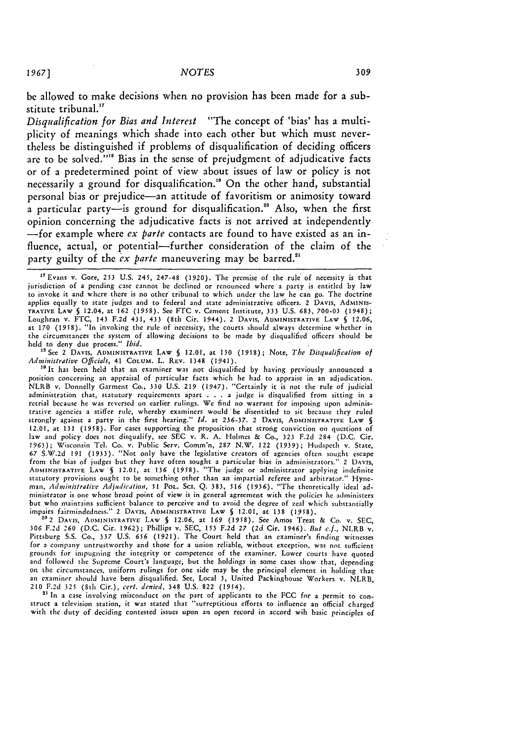**be** allowed to make decisions when no provision has been made for a substitute tribunal.<sup>17</sup>

*Disqualification for Bias and Interest* "The concept of 'bias' has a multiplicity of meanings which shade into each other but which must nevertheless be distinguished if problems of disqualification of deciding officers are to be solved."<sup>18</sup> Bias in the sense of prejudgment of adjudicative facts or of a predetermined point of view about issues of law or policy is not necessarily a ground for disqualification.<sup>19</sup> On the other hand, substantial personal bias or prejudice-an attitude of favoritism or animosity toward  $\hat{\textbf{a}}$  particular party—is ground for disqualification. $\textbf{^{20}}$  Also, when the first opinion concerning the adjudicative facts is not arrived at independently -for example where **ex** *parte* contacts are found to have existed as an influence, actual, or potential-further consideration of the claim of the party guilty of the *ex parte* maneuvering may be barred.<sup>21</sup>

<sup>17</sup> Evans v. Gore, 253 U.S. 245, 247-48 (1920). The premise of the rule of necessity is that jurisdiction of a pending case cannot be declined or renounced where a party is entitled by law to invoke it and where there is no other tribunal to which under the law he can go. The doctrine applies equally to state judges and to'federal and state administrative officers. 2 DAVIS, AdMINIS-TRATIVE LAW **§** 12.04, at 162 (1958). See FTC v. Cement Institute, 333 U.S. 683, 700-03 (1948); Loughran v. FTC, 143 **F.2d** 431, 433 (8th Cir. 1944). 2 DAVIS, ADMINISTRATIVE LAW § 12.06, at **170** (1958). "In invoking the rule of necessity, the courts should always determine whether in the circumstances the system of allowing decisions to be made **by** disqualified officers should be **held** to deny due process." *Ibid.*

'SSee 2 DAVIS, **ADMINISTRATIVE LAW §** 12.01, at **130** (1958); Note, *The Disqualification* of Administrative Officials, 41 COLUM. L. REV. 1348 (1941).

" It has been held that an examiner was not disqualified by having previously announced a position concerning an appraisal of particular facts which he had to appraise in an adjudication. NLRB v. Donnelly Garment Co., 330 U.S. 219 (1947). "Certainly it is not the rule of judicial<br>administration that, statutory requirements apart . . . a judge is disqualified from sitting in a<br>retrial because he was reversed trative agencies a stiffer rule, whereby examiners would "be disentitled to sit because they ruled strongly against a party in the first hearing." *Id.* at 236-37. 2 DAVIS, ADMINISTRATIVE LAW **§** 12.01, at 131 (1958). For cases supporting the proposition that strong conviction on questions of law and policy does not disqualify, see SEC v. R. A. Holmes & Co., 323 F.2d 284 (D.C. Cir. 1963); Wisconsin Tel. Co. v. Public Serv. Comm'n, 287 N.W. 122 (1939); Hudspeth v. State, **67** S.X.2d 191 (1933). "Not only have the legislative creators of agencies often sought escape from the bias of judges but they have often sought a particular bias in administrators." 2 DAVIS,<br>ADMINISTRATIVE LAW § 12.01, at 136 (1958). "The judge or administrator applying indefinite<br>statutory provisions ought to be *man,* Administrati'e Adjudication, *51* POL. Scl. Q. 383, *516* (1936). "The theoretically ideal administrator is one whose broad point of view is in general agreement with the policies he administers but who maintains sufficient balance to perceive and to avoid the degree of zeal which substantially impairs fairmindedness." 2 DAvIs, ADMINISTRATIVE LAW **§** 12.01, at 138 (1958).

2c2 **DAVIs,** ADMINISTRATIVE **LAW §** 12.06, at *169* (1958). See Amos Treat & Co. v. SEC, *306* F.2d *260* (D.C. Cir. 1962); Phillips v. SEC, 153 F.2d *27* (2d Cir. 1946). But *c.f.,* NLRB v. Pittsburg S.S. Co., 337 U.S. **656** (1921). The Court held that an examiner's finding witnesses for a company untrustworthy and those for a union reliable, without exception, was not sufficient grounds for impugning the integrity or competence of the examiner. Lower courts have quoted and followed the Supreme Court's language, but the holdings in some cases show that, depending on the circumstances, uniform rulings for one side may be the principal element in holding that an examiner should have been disqualified. See, Local 3, United Packinghouse Workers v. NLRB, 210 F.2d 325 (8th Cir.), cert. denied, 348 U.S. 822 (1954). 210 F.2d 325 (8th Cir.), *cert. denied*, 348 U.S. 822 (1954).<br><sup>21</sup> In a case involving misconduct on the part of applicants to the FCC for a permit to con-

struct a television station, it was stated that "surreptitious efforts to influence an official charged with the duty of deciding contested issues upon an open record in accord wih basic principles of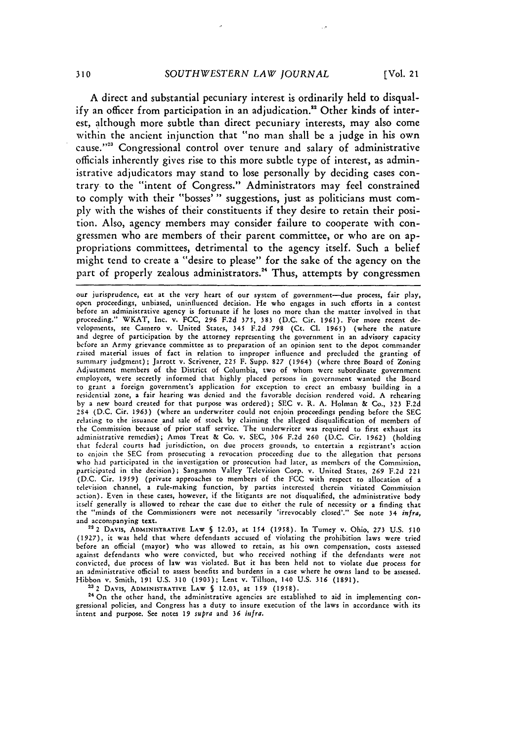**A** direct and substantial pecuniary interest is ordinarily held to disqualify an officer from participation in an adjudication.<sup>22</sup> Other kinds of interest, although more subtle than direct pecuniary interests, may also come within the ancient injunction that "no man shall **be** a judge in his own cause."<sup>23</sup> Congressional control over tenure and salary of administrative officials inherently gives rise to this more subtle type of interest, as administrative adjudicators may stand to lose personally **by** deciding cases contrary to the "intent of Congress." Administrators may feel constrained to comply with their "bosses' **"** suggestions, just as politicians must com**ply** with the wishes of their constituents if they desire to retain their position. Also, agency members may consider failure to cooperate with congressmen who are members of their parent committee, or who are on appropriations committees, detrimental to the agency itself. Such a belief might tend to create a "desire to please" for the sake of the agency on the part of properly zealous administrators.<sup>24</sup> Thus, attempts by congressmen

**222** DAVIS, ADMINISTRATIVE **LAW § 12.03,** at 154 **(1958).** In Tumey v. Ohio, **273** U.S. **510 (1927),** it was held that where defendants accused of violating the prohibition laws were tried before an official (mayor) who was allowed to retain, as his own compensation, costs assessed against defendants who were convicted, but who received nothing if the defendants were not convicted, due process of law was violated. But it has been held not to violate due process for an administrative official to assess benefits and burdens in a case where he owns land to be assessed. Hibbon v. Smith, 191 U.S. **310 (1903);** Lent v. Tillson, 140 U.S. 316 (1891). **<sup>232</sup>**DAVIS, ADMINISTRATIVE **LAW S** 12.03, at **159 (1958).**

**24** On the other hand, the administrative agencies are established to aid in implementing congressional policies, and Congress has a duty to insure execution of the laws in accordance with its intent and purpose. **See notes** *19 supra* and **36** *infra.*

our jurisprudence, eat at the very heart of our system of government-due process, fair play, open proceedings, unbiased, uninfluenced decision. He who engages in such efforts in a contest before an administrative agency is fortunate if he loses no more than the matter involved in that proceeding." WKAT, Inc. v. FCC, **296** F.2d **375,** 383 (D.C. Cir. 1961). For more recent developments, see Camero v. United States, 345 F.2d **798** (Ct. **Cl. 1965)** (where the nature and degree of participation by the attorney representing the government in an advisory capacity before an Army grievance committee as to preparation of an opinion sent to the depot commander raised material issues of fact in relation to improper influence and precluded the granting of summary judgment); Jarrott v. Scrivener, 225 F. Supp. **827** (1964) (where three Board of Zoning Adjustment members of the District of Columbia, two of whom were subordinate government employees, were secretly informed that highly placed persons in government wanted the Board to grant a foreign government's application for exception to erect an embassy building in a residential zone, a fair hearing was denied and the favorable decision rendered void. A rehearing by a new board created for that purpose was ordered); SEC v. R. A. Holman & Co., 323 F.2d 2S4 (D.C. Cir. **1963)** (where an underwriter could not enjoin proceedings pending before the SEC relating to the issuance and sale of stock by claining the alleged disqualification of members of the Commission because of prior staff service. The underwriter was required to first exhaust its administrative remedies); Amos Treat & Co. v. SEC, **306** F.2d **260** (D.C. Cir. 1962) (holding that federal courts **had** jurisdiction, on due process grounds, to entertain **a** registrant's action to enjoin the SEC from prosecuting a revocation proceeding due to the allegation that persons who had participated in the investigation or prosecution had later, as members of the Commission, participated in the decision); Sangamon Valley Television Corp. v. United States, **269** F.2d 221 (D.C. Cir. **1959)** (private approaches to members of the FCC with respect to allocation of a television channel, a rule-making function, by parties interested therein vitiated Commission action). Even in these cases, however, if the litigants are not disqualified, the administrative body itself generally is allowed to rehear the case due to either the rule of necessity or a finding that the "minds of the Commissioners were not necessarily 'irrevocably closed'." See note 34 *infra,* and accompanying text.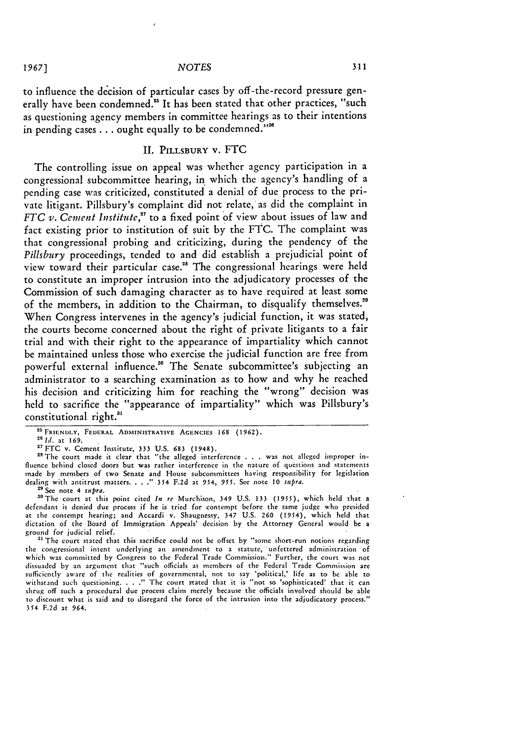to influence the decision of particular cases by off-the-record pressure generally have been condemned.<sup>25</sup> It has been stated that other practices, "such as questioning agency members in committee hearings as to their intentions in pending cases . . . ought equally to be condemned."<sup>28</sup>

### II. **PILLSBURY V.** FTC

The controlling issue on appeal was whether agency participation in a congressional subcommittee hearing, in which the agency's handling of a pending case was criticized, constituted a denial of due process to the private litigant. Pillsbury's complaint did not relate, as did the complaint in *FTC v. Cement Institute,"* to a fixed point of view about issues of law and fact existing prior to institution of suit by the FTC. The complaint was that congressional probing and criticizing, during the pendency of the *Pillsbury* proceedings, tended to and did establish a prejudicial point of view toward their particular case."8 The congressional hearings were held to constitute an improper intrusion into the adjudicatory processes of the Commission of such damaging character as to have required at least some of the members, in addition to the Chairman, to disqualify themselves."9 When Congress intervenes in the agency's judicial function, it was stated, the courts become concerned about the right of private litigants to a fair trial and with their right to the appearance of impartiality which cannot be maintained unless those who exercise the judicial function are free from powerful external influence.<sup>30</sup> The Senate subcommittee's subjecting an administrator to a searching examination as to how and why he reached his decision and criticizing him for reaching the "wrong" decision was held to sacrifice the "appearance of impartiality" which was Pillsbury's constitutional right.<sup>31</sup>

<sup>28</sup> The court made it clear that "the alleged interference . . . was not alleged improper influence behind closed doors but was rather interference in the nature of questions and statements made by members of two Senate and House subcommittees having responsibility for legislation dealing with antitrust matters. 354 F.2d at 954, 955. See note **10** *supra.* **<sup>29</sup>**See note 4 *supra.*

<sup>29</sup> See note 4 *supra*.<br><sup>30</sup> The court at this point cited *In re* Murchison, 349 U.S. 133 (1955), which held that a defendant is denied due process if he is tried for contempt before the same **judge** who presided at the contempt hearing; and Accardi v. Shaugnessy, 347 **U.S. 260** (1954), which held that dictation of the Board of Immigration Appeals' decision by the Attorney General would be a ground for judicial relief.

**31** The court stated that this sacrifice could not be offset by "some short-run notions regarding the congressional intent underlying an amendment to a statute, 'unfettered administration of which was committed by Congress to the Federal Trade Commission." Further, the court was not dissuaded by an argument that "such officials as members of the Federal Trade Commission are<br>sufficiently aware of the realities of governmental, not to say 'political,' life as to be able to<br>withstand such questioning. . shrug off such a procedural due process claim merely because the officials involved should be able to discount what is said and to disregard the force of the intrusion into the adjudicatory process." 354 **F.2d** at 964.

19671

<sup>&</sup>lt;sup>25</sup> FRIENDLY, FEDERAL ADMINISTRATIVE AGENCIES 168 (1962).

<sup>&</sup>lt;sup>26</sup> *Id.* at 169.

**<sup>27</sup>FTC** v. Cement Institute, 333 U.S. **683** (1948).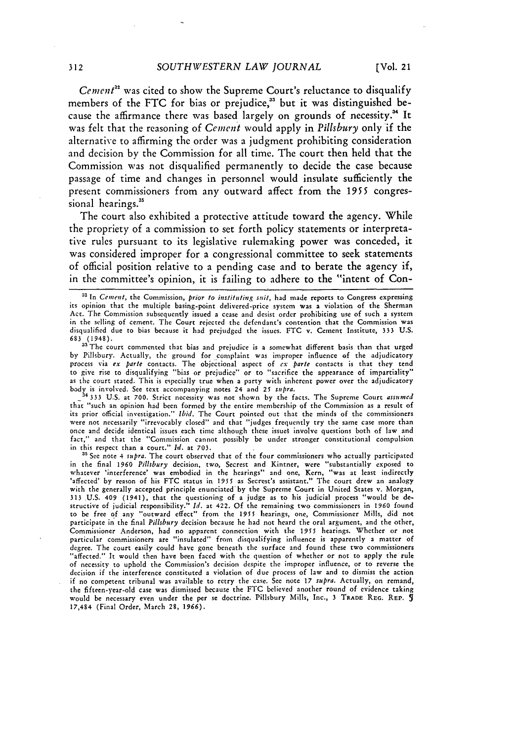*Cement<sup>32</sup>* was cited to show the Supreme Court's reluctance to disqualify members of the FTC for bias or prejudice,<sup>33</sup> but it was distinguished because the affirmance there was based largely on grounds of necessity.<sup>34</sup> It was felt that the reasoning of *Cement* would apply in *Pillsbury* only if the alternative to affirming the order was a judgment prohibiting consideration and decision **by** the Commission for all time. The court then **held** that the Commission was not disqualified permanently to decide the case because passage of time and changes in personnel would insulate sufficiently the present commissioners from any outward affect from the **1955** congressional hearings.<sup>35</sup>

The court also exhibited a protective attitude toward the agency. While the propriety of a commission to set forth policy statements or interpretative rules pursuant to its legislative rulemaking power was conceded, it was considered improper for a congressional committee to seek statements of official position relative to a pending case and to berate the agency if, in the committee's opinion, it is failing to adhere to the "intent of Con-

**683** (1948). **a** The court commented that bias and prejudice is a somewhat different basis than that urged by Pillsbury. Actually, the ground for complaint was improper influence **of** the adjudicatory process via *ex parte* contacts. The objectional aspect of *ex pare* contacts is that they tend to give rise to disqualifying "bias or prejudice" or to "sacrifice the appearance of impartiality" as the court stated. This is especially true when a party with inherent power over the adjudicatory body is involved. See text accompanying notes 24 and **25** *supra.* 14333 U.S. at 700. Strict necessity was not shown by the facts. The Supreme Court *assumed*

that "such an opinion had been formed by the entire membership of the Commission as a result of its prior official investigation." Ibid. The Court pointed out that the minds of the commissioners were not necessarily "irrevocably closed" and that "judges frequently try the same case more than once and decide identical issues each time although these issues involve questions both of law and fact," and that the "Commission cannot possibly be under stronger constitutional compulsion in this respect than a court." *Id.* at 703.

<sup>35</sup> See note 4 *supra*. The court observed that of the four commissioners who actually participated in the final **1960** *Pillsbury* decision, two, Secrest and Kintner, were "substantially exposed to whatever 'interference' was embodied in the hearings" and one, Kern, "was at least indirectly 'affected' by reason of his FTC status in 1955 as Secrest's assistant." The court drew an analogy with the generally accepted principle enunciated'by the Supreme Court in United States v. Morgan, 313 U.S. 409 (1941), that the questioning of a judge as to his judicial process "would be destructive of judicial responsibility." *Id.* at 422. Of the remaining two commissioners in 1960 found to be free of any "outward effect" from the **1955** hearings, one, Commissioner Mills, did not participate in the final *Pillsbury* decision because he had not heard the oral argument, and the other, Commissioner Anderson, had no apparent connection with the **1985** hearings. Whether or not particular commissioners are "insulated" from disqualifying influence is apparently a matter of degree. The court easily could have gone beneath the surface and found these two commissioners "affected." It would then have been faced with the question of whether or not to apply the rule of necessity to uphold the Commission's decision despite the improper influence, or to reverse the decision if the interference constituted a violation of due process of law and to dismiss the action if no competent tribunal was available to retry the case. See note **17** *supra.* Actually, on remand, the fifteen-year-old case was dismissed because the FTC believed another round of evidence taking would be necessary even under the per se doctrine. Pillsbury Mills, Inc., 3 TRADE REo. REP. 17,484 (Final Order, March 28, 1966).

**<sup>32</sup>**In Cement, the Commission, *prior to* instituting *suit,* had made reports to Congress expressing its opinion that the multiple basing-point delivered-price system was a violation of the Sherman Act. The Commission subsequently issued a cease and desist order prohibiting use of such a system in the selling of cement. The Court rejected the defendant's contention that the Commission was disqualified due to bias because it had prejudged the issues. FTC v. Cement Institute, 333 U.S.